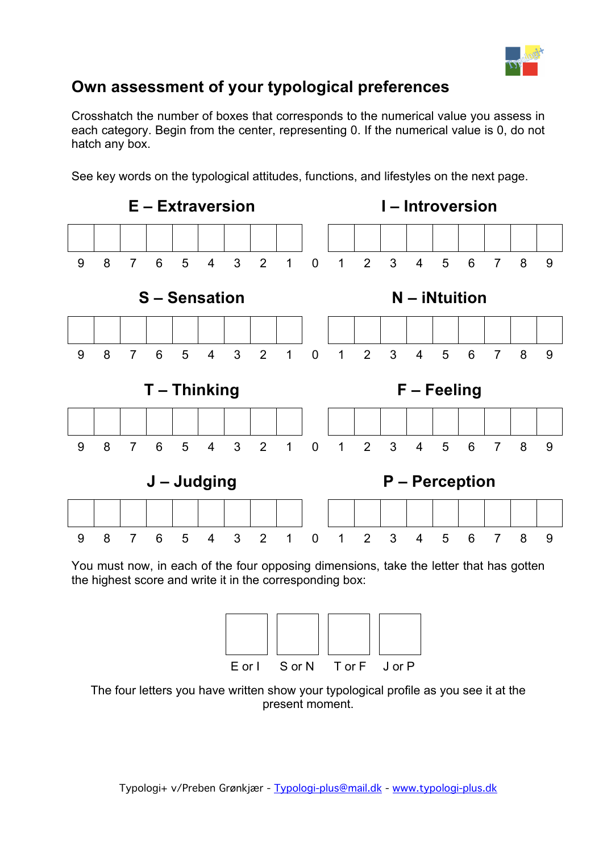

## **Own assessment of your typological preferences**

Crosshatch the number of boxes that corresponds to the numerical value you assess in each category. Begin from the center, representing 0. If the numerical value is 0, do not hatch any box.

See key words on the typological attitudes, functions, and lifestyles on the next page.



You must now, in each of the four opposing dimensions, take the letter that has gotten the highest score and write it in the corresponding box:



The four letters you have written show your typological profile as you see it at the present moment.